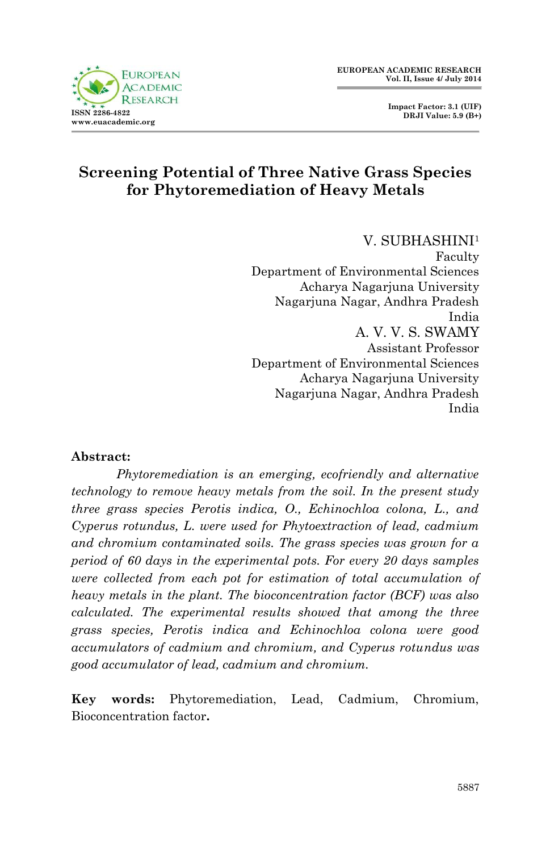



# **Screening Potential of Three Native Grass Species for Phytoremediation of Heavy Metals**

V. SUBHASHINI<sup>1</sup> Faculty Department of Environmental Sciences Acharya Nagarjuna University Nagarjuna Nagar, Andhra Pradesh India A. V. V. S. SWAMY Assistant Professor Department of Environmental Sciences Acharya Nagarjuna University Nagarjuna Nagar, Andhra Pradesh India

#### **Abstract:**

*Phytoremediation is an emerging, ecofriendly and alternative technology to remove heavy metals from the soil. In the present study three grass species Perotis indica, O., Echinochloa colona, L., and Cyperus rotundus, L. were used for Phytoextraction of lead, cadmium and chromium contaminated soils. The grass species was grown for a period of 60 days in the experimental pots. For every 20 days samples were collected from each pot for estimation of total accumulation of heavy metals in the plant. The bioconcentration factor (BCF) was also calculated. The experimental results showed that among the three grass species, Perotis indica and Echinochloa colona were good accumulators of cadmium and chromium, and Cyperus rotundus was good accumulator of lead, cadmium and chromium.* 

**Key words:** Phytoremediation, Lead, Cadmium, Chromium, Bioconcentration factor**.**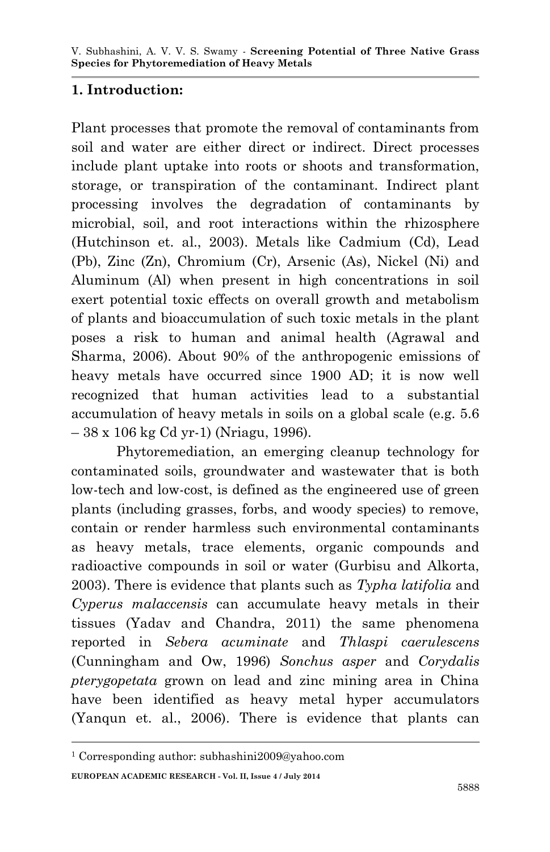### **1. Introduction:**

Plant processes that promote the removal of contaminants from soil and water are either direct or indirect. Direct processes include plant uptake into roots or shoots and transformation, storage, or transpiration of the contaminant. Indirect plant processing involves the degradation of contaminants by microbial, soil, and root interactions within the rhizosphere (Hutchinson et. al., 2003). Metals like Cadmium (Cd), Lead (Pb), Zinc (Zn), Chromium (Cr), Arsenic (As), Nickel (Ni) and Aluminum (Al) when present in high concentrations in soil exert potential toxic effects on overall growth and metabolism of plants and bioaccumulation of such toxic metals in the plant poses a risk to human and animal health (Agrawal and Sharma, 2006). About 90% of the anthropogenic emissions of heavy metals have occurred since 1900 AD; it is now well recognized that human activities lead to a substantial accumulation of heavy metals in soils on a global scale (e.g. 5.6 – 38 x 106 kg Cd yr-1) (Nriagu, 1996).

Phytoremediation, an emerging cleanup technology for contaminated soils, groundwater and wastewater that is both low-tech and low-cost, is defined as the engineered use of green plants (including grasses, forbs, and woody species) to remove, contain or render harmless such environmental contaminants as heavy metals, trace elements, organic compounds and radioactive compounds in soil or water (Gurbisu and Alkorta, 2003). There is evidence that plants such as *Typha latifolia* and *Cyperus malaccensis* can accumulate heavy metals in their tissues (Yadav and Chandra, 2011) the same phenomena reported in *Sebera acuminate* and *Thlaspi caerulescens*  (Cunningham and Ow, 1996) *Sonchus asper* and *Corydalis pterygopetata* grown on lead and zinc mining area in China have been identified as heavy metal hyper accumulators (Yanqun et. al., 2006). There is evidence that plants can

**.** 

**EUROPEAN ACADEMIC RESEARCH - Vol. II, Issue 4 / July 2014** <sup>1</sup> Corresponding author: subhashini2009@yahoo.com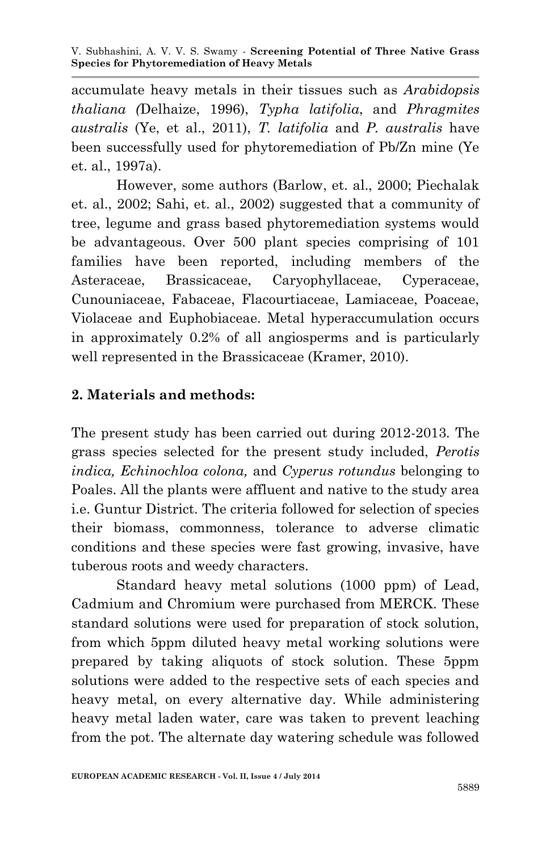accumulate heavy metals in their tissues such as *Arabidopsis thaliana (*Delhaize, 1996), *Typha latifolia*, and *Phragmites australis* (Ye, et al., 2011), *T. latifolia* and *P. australis* have been successfully used for phytoremediation of Pb/Zn mine (Ye et. al., 1997a).

However, some authors (Barlow, et. al., 2000; Piechalak et. al., 2002; Sahi, et. al., 2002) suggested that a community of tree, legume and grass based phytoremediation systems would be advantageous. Over 500 plant species comprising of 101 families have been reported, including members of the Asteraceae, Brassicaceae, Caryophyllaceae, Cyperaceae, Cunouniaceae, Fabaceae, Flacourtiaceae, Lamiaceae, Poaceae, Violaceae and Euphobiaceae. Metal hyperaccumulation occurs in approximately 0.2% of all angiosperms and is particularly well represented in the Brassicaceae (Kramer, 2010).

# **2. Materials and methods:**

The present study has been carried out during 2012-2013. The grass species selected for the present study included, *Perotis indica, Echinochloa colona,* and *Cyperus rotundus* belonging to Poales. All the plants were affluent and native to the study area i.e. Guntur District. The criteria followed for selection of species their biomass, commonness, tolerance to adverse climatic conditions and these species were fast growing, invasive, have tuberous roots and weedy characters.

Standard heavy metal solutions (1000 ppm) of Lead, Cadmium and Chromium were purchased from MERCK. These standard solutions were used for preparation of stock solution, from which 5ppm diluted heavy metal working solutions were prepared by taking aliquots of stock solution. These 5ppm solutions were added to the respective sets of each species and heavy metal, on every alternative day. While administering heavy metal laden water, care was taken to prevent leaching from the pot. The alternate day watering schedule was followed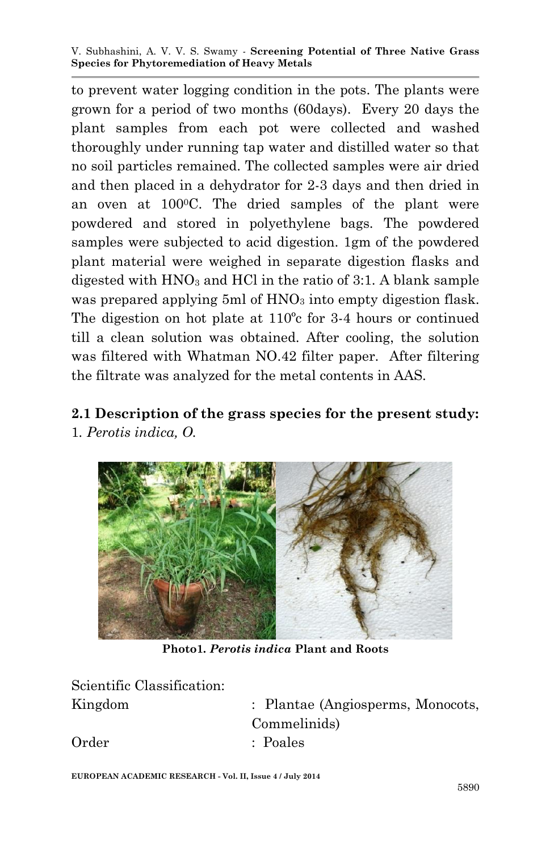to prevent water logging condition in the pots. The plants were grown for a period of two months (60days). Every 20 days the plant samples from each pot were collected and washed thoroughly under running tap water and distilled water so that no soil particles remained. The collected samples were air dried and then placed in a dehydrator for 2-3 days and then dried in an oven at 1000C. The dried samples of the plant were powdered and stored in polyethylene bags. The powdered samples were subjected to acid digestion. 1gm of the powdered plant material were weighed in separate digestion flasks and digested with  $HNO<sub>3</sub>$  and  $HCl$  in the ratio of 3:1. A blank sample was prepared applying 5ml of HNO<sub>3</sub> into empty digestion flask. The digestion on hot plate at 110ºc for 3-4 hours or continued till a clean solution was obtained. After cooling, the solution was filtered with Whatman NO.42 filter paper. After filtering the filtrate was analyzed for the metal contents in AAS.

#### **2.1 Description of the grass species for the present study:** 1*. Perotis indica, O.*



**Photo1***. Perotis indica* **Plant and Roots**

| Scientific Classification: |                                   |
|----------------------------|-----------------------------------|
| Kingdom                    | : Plantae (Angiosperms, Monocots, |
|                            | Commelinids)                      |
| Order                      | : Poales                          |
|                            |                                   |

**EUROPEAN ACADEMIC RESEARCH - Vol. II, Issue 4 / July 2014**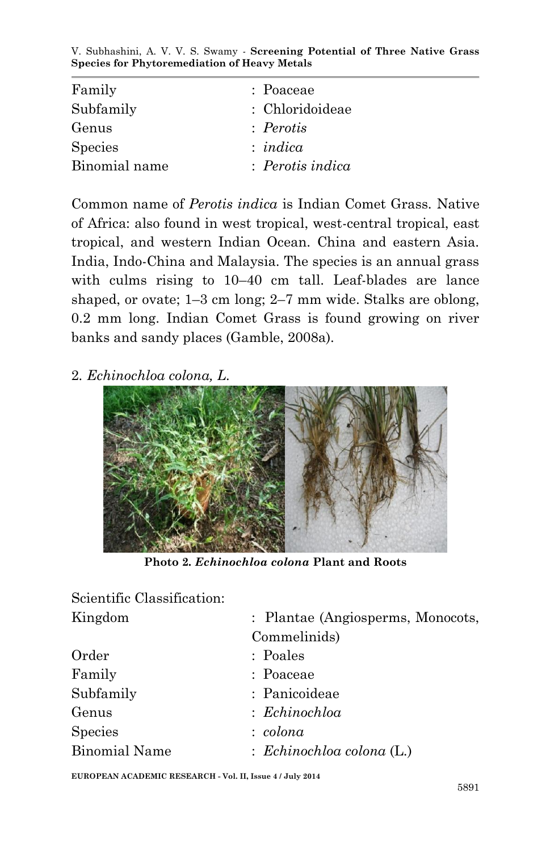| Family         | : Poaceae        |
|----------------|------------------|
| Subfamily      | : Chloridoideae  |
| Genus          | : Perotis        |
| <b>Species</b> | : <i>indica</i>  |
| Binomial name  | : Perotis indica |

Common name of *Perotis indica* is Indian Comet Grass. Native of Africa: also found in west tropical, west-central tropical, east tropical, and western Indian Ocean. China and eastern Asia. India, Indo-China and Malaysia. The species is an annual grass with culms rising to  $10-40$  cm tall. Leaf-blades are lance shaped, or ovate; 1–3 cm long; 2–7 mm wide. Stalks are oblong, 0.2 mm long. Indian Comet Grass is found growing on river banks and sandy places (Gamble, 2008a).

2*. Echinochloa colona, L.*



**Photo 2***. Echinochloa colona* **Plant and Roots**

| Scientific Classification: |                                      |
|----------------------------|--------------------------------------|
| Kingdom                    | : Plantae (Angiosperms, Monocots,    |
|                            | Commelinids)                         |
| Order                      | : Poales                             |
| Family                     | : Poaceae                            |
| Subfamily                  | : Panicoideae                        |
| Genus                      | : Echinochloa                        |
| <b>Species</b>             | : colona                             |
| <b>Binomial Name</b>       | $\therefore$ Echinochloa colona (L.) |

**EUROPEAN ACADEMIC RESEARCH - Vol. II, Issue 4 / July 2014**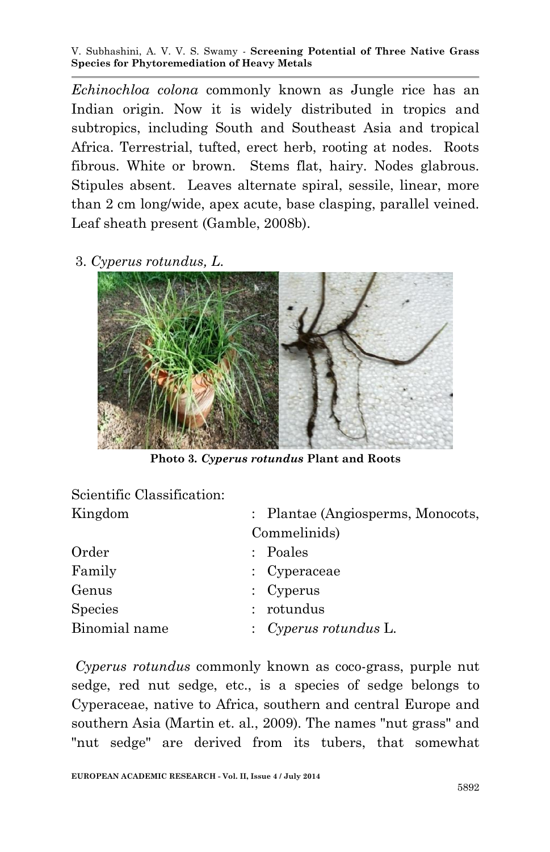*Echinochloa colona* commonly known as Jungle rice has an Indian origin. Now it is widely distributed in tropics and subtropics, including South and Southeast Asia and tropical Africa. Terrestrial, tufted, erect herb, rooting at nodes. Roots fibrous. White or brown. Stems flat, hairy. Nodes glabrous. Stipules absent. Leaves alternate spiral, sessile, linear, more than 2 cm long/wide, apex acute, base clasping, parallel veined. Leaf sheath present (Gamble, 2008b).

3. *Cyperus rotundus, L.*



**Photo 3***. Cyperus rotundus* **Plant and Roots**

| Scientific Classification: |                                   |  |  |  |  |
|----------------------------|-----------------------------------|--|--|--|--|
| Kingdom                    | : Plantae (Angiosperms, Monocots, |  |  |  |  |
|                            | Commelinids)                      |  |  |  |  |
| Order                      | : Poales                          |  |  |  |  |
| Family                     | : Cyperaceae                      |  |  |  |  |
| Genus                      | : $Cyperus$                       |  |  |  |  |
| Species                    | : rotundus                        |  |  |  |  |
| Binomial name              | $\therefore$ Cyperus rotundus L.  |  |  |  |  |
|                            |                                   |  |  |  |  |

*Cyperus rotundus* commonly known as coco-grass, purple nut sedge, red nut sedge, etc., is a species of sedge belongs to Cyperaceae, native to Africa, southern and central Europe and southern Asia (Martin et. al., 2009). The names "nut grass" and "nut sedge" are derived from its tubers, that somewhat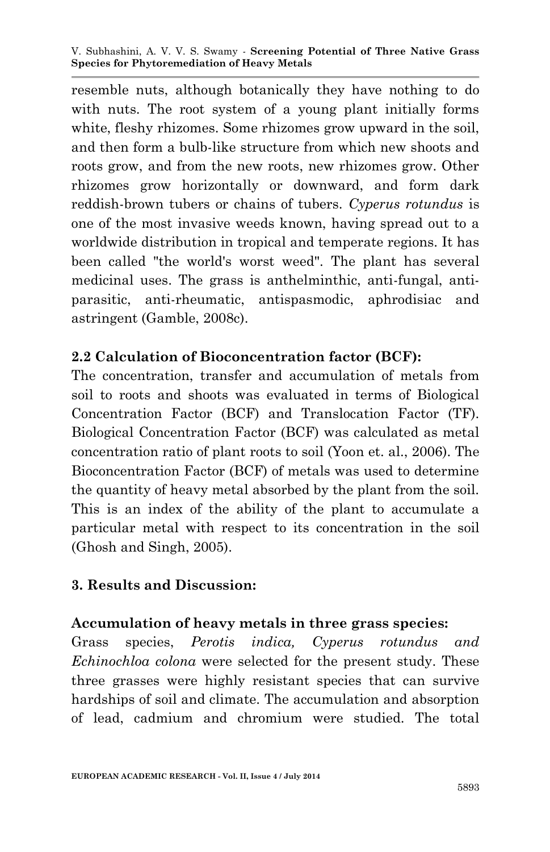resemble nuts, although botanically they have nothing to do with nuts. The root system of a young plant initially forms white, fleshy rhizomes. Some rhizomes grow upward in the soil. and then form a bulb-like structure from which new shoots and roots grow, and from the new roots, new rhizomes grow. Other rhizomes grow horizontally or downward, and form dark reddish-brown tubers or chains of tubers. *Cyperus rotundus* is one of the most invasive weeds known, having spread out to a worldwide distribution in tropical and temperate regions. It has been called "the world's worst weed". The plant has several medicinal uses. The grass is anthelminthic, anti-fungal, antiparasitic, anti-rheumatic, antispasmodic, aphrodisiac and astringent (Gamble, 2008c).

#### **2.2 Calculation of Bioconcentration factor (BCF):**

The concentration, transfer and accumulation of metals from soil to roots and shoots was evaluated in terms of Biological Concentration Factor (BCF) and Translocation Factor (TF). Biological Concentration Factor (BCF) was calculated as metal concentration ratio of plant roots to soil (Yoon et. al., 2006). The Bioconcentration Factor (BCF) of metals was used to determine the quantity of heavy metal absorbed by the plant from the soil. This is an index of the ability of the plant to accumulate a particular metal with respect to its concentration in the soil (Ghosh and Singh, 2005).

#### **3. Results and Discussion:**

#### **Accumulation of heavy metals in three grass species:**

Grass species, *Perotis indica, Cyperus rotundus and Echinochloa colona* were selected for the present study. These three grasses were highly resistant species that can survive hardships of soil and climate. The accumulation and absorption of lead, cadmium and chromium were studied. The total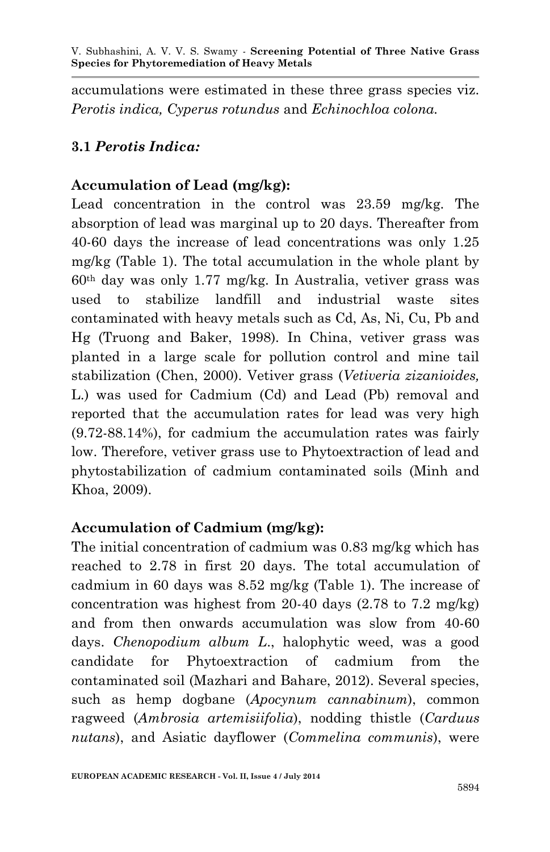accumulations were estimated in these three grass species viz. *Perotis indica, Cyperus rotundus* and *Echinochloa colona.*

# **3.1** *Perotis Indica:*

# **Accumulation of Lead (mg/kg):**

Lead concentration in the control was 23.59 mg/kg. The absorption of lead was marginal up to 20 days. Thereafter from 40-60 days the increase of lead concentrations was only 1.25 mg/kg (Table 1). The total accumulation in the whole plant by 60th day was only 1.77 mg/kg. In Australia, vetiver grass was used to stabilize landfill and industrial waste sites contaminated with heavy metals such as Cd, As, Ni, Cu, Pb and Hg (Truong and Baker, 1998). In China, vetiver grass was planted in a large scale for pollution control and mine tail stabilization (Chen, 2000). Vetiver grass (*Vetiveria zizanioides,* L.) was used for Cadmium (Cd) and Lead (Pb) removal and reported that the accumulation rates for lead was very high (9.72-88.14%), for cadmium the accumulation rates was fairly low. Therefore, vetiver grass use to Phytoextraction of lead and phytostabilization of cadmium contaminated soils (Minh and Khoa, 2009).

## **Accumulation of Cadmium (mg/kg):**

The initial concentration of cadmium was 0.83 mg/kg which has reached to 2.78 in first 20 days. The total accumulation of cadmium in 60 days was 8.52 mg/kg (Table 1). The increase of concentration was highest from 20-40 days  $(2.78 \text{ to } 7.2 \text{ mg/kg})$ and from then onwards accumulation was slow from 40-60 days. *Chenopodium album L*., halophytic weed, was a good candidate for Phytoextraction of cadmium from the contaminated soil (Mazhari and Bahare, 2012). Several species, such as hemp dogbane (*Apocynum cannabinum*), common ragweed (*Ambrosia artemisiifolia*), nodding thistle (*Carduus nutans*), and Asiatic dayflower (*Commelina communis*), were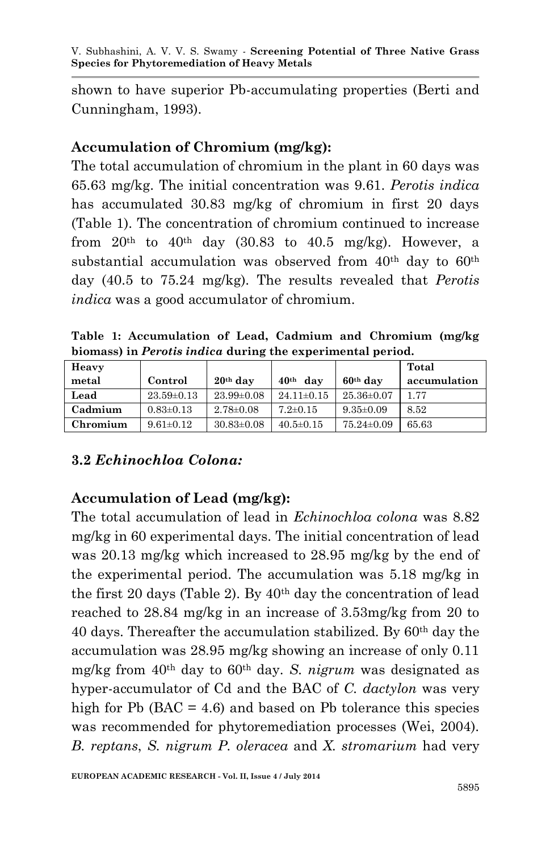shown to have superior Pb-accumulating properties (Berti and Cunningham, 1993).

### **Accumulation of Chromium (mg/kg):**

The total accumulation of chromium in the plant in 60 days was 65.63 mg/kg. The initial concentration was 9.61. *Perotis indica* has accumulated 30.83 mg/kg of chromium in first 20 days (Table 1). The concentration of chromium continued to increase from  $20<sup>th</sup>$  to  $40<sup>th</sup>$  day (30.83 to  $40.5$  mg/kg). However, a substantial accumulation was observed from  $40<sup>th</sup>$  day to  $60<sup>th</sup>$ day (40.5 to 75.24 mg/kg). The results revealed that *Perotis indica* was a good accumulator of chromium.

**Table 1: Accumulation of Lead, Cadmium and Chromium (mg/kg biomass) in** *Perotis indica* **during the experimental period.**

| Heavy    |                  |                  |                 |                  | Total        |
|----------|------------------|------------------|-----------------|------------------|--------------|
| metal    | Control          | $20th$ day       | $40th$ dav      | $60th$ dav       | accumulation |
| Lead     | $23.59 \pm 0.13$ | $23.99 \pm 0.08$ | $24.11\pm0.15$  | $25.36 \pm 0.07$ | 1.77         |
| Cadmium  | $0.83\pm0.13$    | $2.78 \pm 0.08$  | $7.2 \pm 0.15$  | $9.35 \pm 0.09$  | 8.52         |
| Chromium | $9.61 \pm 0.12$  | $30.83 \pm 0.08$ | $40.5 \pm 0.15$ | $75.24 \pm 0.09$ | 65.63        |

## **3.2** *Echinochloa Colona:*

## **Accumulation of Lead (mg/kg):**

The total accumulation of lead in *Echinochloa colona* was 8.82 mg/kg in 60 experimental days. The initial concentration of lead was 20.13 mg/kg which increased to 28.95 mg/kg by the end of the experimental period. The accumulation was 5.18 mg/kg in the first 20 days (Table 2). By  $40<sup>th</sup>$  day the concentration of lead reached to 28.84 mg/kg in an increase of 3.53mg/kg from 20 to 40 days. Thereafter the accumulation stabilized. By 60th day the accumulation was 28.95 mg/kg showing an increase of only 0.11 mg/kg from 40th day to 60th day. *S. nigrum* was designated as hyper-accumulator of Cd and the BAC of *C. dactylon* was very high for Pb  $(BAC = 4.6)$  and based on Pb tolerance this species was recommended for phytoremediation processes (Wei, 2004). *B. reptans*, *S. nigrum P. oleracea* and *X. stromarium* had very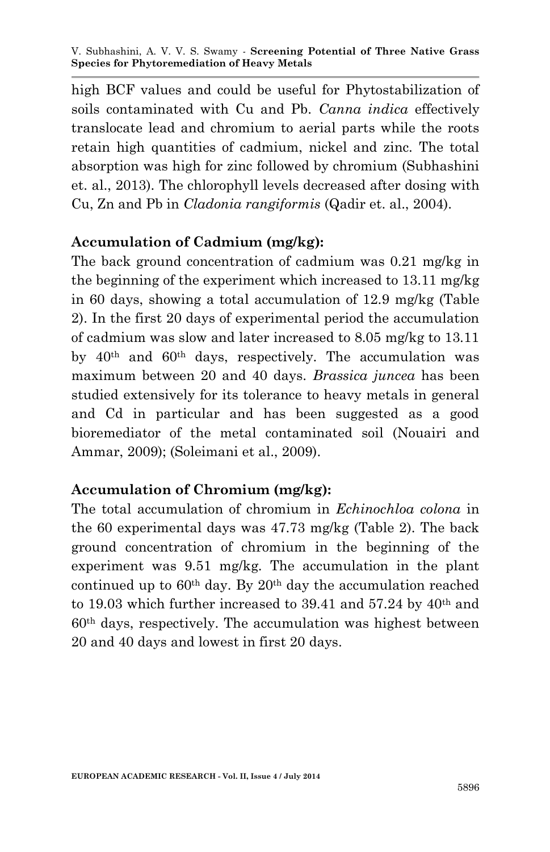high BCF values and could be useful for Phytostabilization of soils contaminated with Cu and Pb. *Canna indica* effectively translocate lead and chromium to aerial parts while the roots retain high quantities of cadmium, nickel and zinc. The total absorption was high for zinc followed by chromium (Subhashini et. al., 2013). The chlorophyll levels decreased after dosing with Cu, Zn and Pb in *Cladonia rangiformis* (Qadir et. al., 2004).

### **Accumulation of Cadmium (mg/kg):**

The back ground concentration of cadmium was 0.21 mg/kg in the beginning of the experiment which increased to 13.11 mg/kg in 60 days, showing a total accumulation of 12.9 mg/kg (Table 2). In the first 20 days of experimental period the accumulation of cadmium was slow and later increased to 8.05 mg/kg to 13.11 by 40th and 60th days, respectively. The accumulation was maximum between 20 and 40 days. *Brassica juncea* has been studied extensively for its tolerance to heavy metals in general and Cd in particular and has been suggested as a good bioremediator of the metal contaminated soil (Nouairi and Ammar, 2009); (Soleimani et al., 2009).

## **Accumulation of Chromium (mg/kg):**

The total accumulation of chromium in *Echinochloa colona* in the 60 experimental days was 47.73 mg/kg (Table 2). The back ground concentration of chromium in the beginning of the experiment was 9.51 mg/kg. The accumulation in the plant continued up to  $60<sup>th</sup>$  day. By  $20<sup>th</sup>$  day the accumulation reached to 19.03 which further increased to 39.41 and 57.24 by 40th and 60th days, respectively. The accumulation was highest between 20 and 40 days and lowest in first 20 days.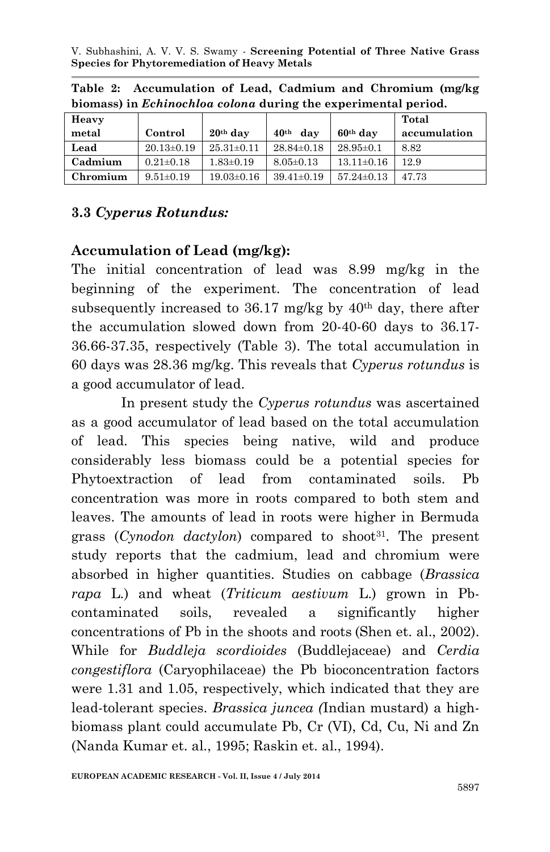| Heavy    |                  |                  |                         |                  | Total        |
|----------|------------------|------------------|-------------------------|------------------|--------------|
| metal    | Control          | $20th$ day       | 40 <sup>th</sup><br>dav | $60th$ dav       | accumulation |
| Lead     | $20.13 \pm 0.19$ | $25.31 \pm 0.11$ | $28.84 \pm 0.18$        | $28.95 \pm 0.1$  | 8.82         |
| Cadmium  | $0.21 \pm 0.18$  | $1.83 \pm 0.19$  | $8.05 \pm 0.13$         | $13.11 \pm 0.16$ | 12.9         |
| Chromium | $9.51 \pm 0.19$  | $19.03 \pm 0.16$ | $39.41 \pm 0.19$        | $57.24 \pm 0.13$ | 47 73        |

**Table 2: Accumulation of Lead, Cadmium and Chromium (mg/kg biomass) in** *Echinochloa colona* **during the experimental period.**

# **3.3** *Cyperus Rotundus:*

### **Accumulation of Lead (mg/kg):**

The initial concentration of lead was 8.99 mg/kg in the beginning of the experiment. The concentration of lead subsequently increased to  $36.17$  mg/kg by  $40<sup>th</sup>$  day, there after the accumulation slowed down from 20-40-60 days to 36.17- 36.66-37.35, respectively (Table 3). The total accumulation in 60 days was 28.36 mg/kg. This reveals that *Cyperus rotundus* is a good accumulator of lead.

 In present study the *Cyperus rotundus* was ascertained as a good accumulator of lead based on the total accumulation of lead. This species being native, wild and produce considerably less biomass could be a potential species for Phytoextraction of lead from contaminated soils. Pb concentration was more in roots compared to both stem and leaves. The amounts of lead in roots were higher in Bermuda grass (*Cynodon dactylon*) compared to shoot<sup>31</sup>. The present study reports that the cadmium, lead and chromium were absorbed in higher quantities. Studies on cabbage (*Brassica rapa* L.) and wheat (*Triticum aestivum* L.) grown in Pbcontaminated soils, revealed a significantly higher concentrations of Pb in the shoots and roots (Shen et. al., 2002). While for *Buddleja scordioides* (Buddlejaceae) and *Cerdia congestiflora* (Caryophilaceae) the Pb bioconcentration factors were 1.31 and 1.05, respectively, which indicated that they are lead-tolerant species. *Brassica juncea (*Indian mustard) a highbiomass plant could accumulate Pb, Cr (VI), Cd, Cu, Ni and Zn (Nanda Kumar et. al., 1995; Raskin et. al., 1994).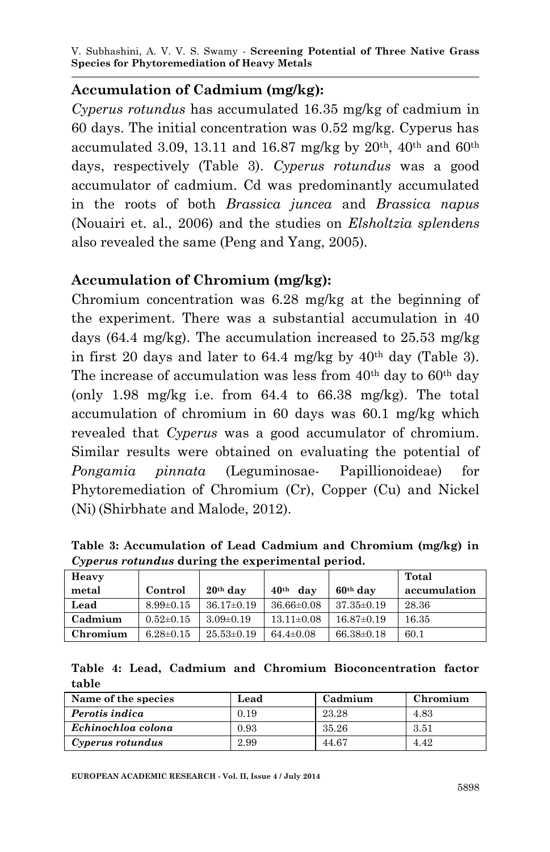#### **Accumulation of Cadmium (mg/kg):**

*Cyperus rotundus* has accumulated 16.35 mg/kg of cadmium in 60 days. The initial concentration was 0.52 mg/kg. Cyperus has accumulated 3.09, 13.11 and 16.87 mg/kg by  $20<sup>th</sup>$ , 40<sup>th</sup> and 60<sup>th</sup> days, respectively (Table 3). *Cyperus rotundus* was a good accumulator of cadmium. Cd was predominantly accumulated in the roots of both *Brassica juncea* and *Brassica napus* (Nouairi et. al., 2006) and the studies on *Elsholtzia splen*d*ens*  also revealed the same (Peng and Yang, 2005).

#### **Accumulation of Chromium (mg/kg):**

Chromium concentration was 6.28 mg/kg at the beginning of the experiment. There was a substantial accumulation in 40 days (64.4 mg/kg). The accumulation increased to 25.53 mg/kg in first 20 days and later to  $64.4$  mg/kg by  $40<sup>th</sup>$  day (Table 3). The increase of accumulation was less from  $40<sup>th</sup>$  day to  $60<sup>th</sup>$  day (only 1.98 mg/kg i.e. from 64.4 to 66.38 mg/kg). The total accumulation of chromium in 60 days was 60.1 mg/kg which revealed that *Cyperus* was a good accumulator of chromium. Similar results were obtained on evaluating the potential of *Pongamia pinnata* (Leguminosae- Papillionoideae) for Phytoremediation of Chromium (Cr), Copper (Cu) and Nickel (Ni) (Shirbhate and Malode, 2012).

**Table 3: Accumulation of Lead Cadmium and Chromium (mg/kg) in**  *Cyperus rotundus* **during the experimental period.**

| Heavy    |                 |                  |                         |                  | Total        |
|----------|-----------------|------------------|-------------------------|------------------|--------------|
| metal    | Control         | $20th$ day       | 40 <sup>th</sup><br>dav | $60th$ day       | accumulation |
| Lead     | $8.99 \pm 0.15$ | $36.17 \pm 0.19$ | $36.66 \pm 0.08$        | $37.35 \pm 0.19$ | 28.36        |
| Cadmium  | $0.52 \pm 0.15$ | $3.09 \pm 0.19$  | $13.11 \pm 0.08$        | $16.87 \pm 0.19$ | 16.35        |
| Chromium | $6.28 \pm 0.15$ | $25.53 \pm 0.19$ | $64.4 \pm 0.08$         | $66.38 \pm 0.18$ | 60.1         |

|       |  |  | Table 4: Lead, Cadmium and Chromium Bioconcentration factor |  |
|-------|--|--|-------------------------------------------------------------|--|
| table |  |  |                                                             |  |

| Name of the species | Lead | Cadmium | Chromium |
|---------------------|------|---------|----------|
| Perotis indica      | 0.19 | 23.28   | 4.83     |
| Echinochloa colona  | 0.93 | 35.26   | 3.51     |
| Cyperus rotundus    | 2.99 | 44.67   | 4.42     |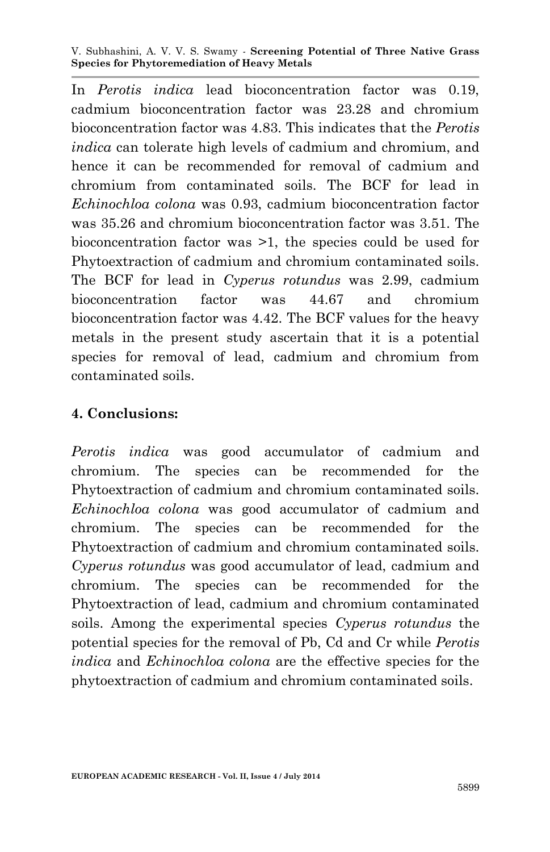In *Perotis indica* lead bioconcentration factor was 0.19, cadmium bioconcentration factor was 23.28 and chromium bioconcentration factor was 4.83. This indicates that the *Perotis indica* can tolerate high levels of cadmium and chromium, and hence it can be recommended for removal of cadmium and chromium from contaminated soils. The BCF for lead in *Echinochloa colona* was 0.93, cadmium bioconcentration factor was 35.26 and chromium bioconcentration factor was 3.51. The bioconcentration factor was >1, the species could be used for Phytoextraction of cadmium and chromium contaminated soils. The BCF for lead in *Cyperus rotundus* was 2.99, cadmium bioconcentration factor was 44.67 and chromium bioconcentration factor was 4.42. The BCF values for the heavy metals in the present study ascertain that it is a potential species for removal of lead, cadmium and chromium from contaminated soils.

#### **4. Conclusions:**

*Perotis indica* was good accumulator of cadmium and chromium. The species can be recommended for the Phytoextraction of cadmium and chromium contaminated soils. *Echinochloa colona* was good accumulator of cadmium and chromium. The species can be recommended for the Phytoextraction of cadmium and chromium contaminated soils. *Cyperus rotundus* was good accumulator of lead, cadmium and chromium. The species can be recommended for the Phytoextraction of lead, cadmium and chromium contaminated soils. Among the experimental species *Cyperus rotundus* the potential species for the removal of Pb, Cd and Cr while *Perotis indica* and *Echinochloa colona* are the effective species for the phytoextraction of cadmium and chromium contaminated soils.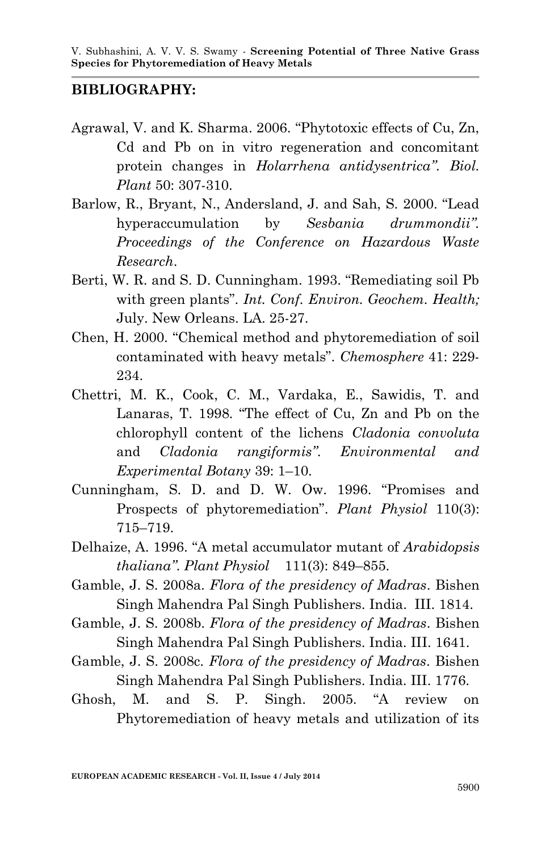#### **BIBLIOGRAPHY:**

- Agrawal, V. and K. Sharma. 2006. "Phytotoxic effects of Cu, Zn, Cd and Pb on in vitro regeneration and concomitant protein changes in *Holarrhena antidysentrica"*. *Biol. Plant* 50: 307-310.
- Barlow, R., Bryant, N., Andersland, J. and Sah, S. 2000. "Lead hyperaccumulation by *Sesbania drummondii". Proceedings of the Conference on Hazardous Waste Research*.
- Berti, W. R. and S. D. Cunningham. 1993. "Remediating soil Pb with green plants". *Int. Conf. Environ. Geochem. Health;*  July. New Orleans. LA. 25-27.
- Chen, H. 2000. "Chemical method and phytoremediation of soil contaminated with heavy metals". *Chemosphere* 41: 229- 234.
- Chettri, M. K., Cook, C. M., Vardaka, E., Sawidis, T. and Lanaras, T. 1998. "The effect of Cu, Zn and Pb on the chlorophyll content of the lichens *Cladonia convoluta* and *Cladonia rangiformis"*. *Environmental and Experimental Botany* 39: 1–10.
- Cunningham, S. D. and D. W. Ow. 1996. "Promises and Prospects of phytoremediation". *Plant Physiol* 110(3): 715–719.
- Delhaize, A. 1996. "A metal accumulator mutant of *Arabidopsis thaliana"*. *Plant Physiol* 111(3): 849–855.
- Gamble, J. S. 2008a. *Flora of the presidency of Madras*. Bishen Singh Mahendra Pal Singh Publishers. India. III. 1814.
- Gamble, J. S. 2008b. *Flora of the presidency of Madras*. Bishen Singh Mahendra Pal Singh Publishers. India. III. 1641.
- Gamble, J. S. 2008c. *Flora of the presidency of Madras*. Bishen Singh Mahendra Pal Singh Publishers. India. III. 1776.
- Ghosh, M. and S. P. Singh. 2005. "A review on Phytoremediation of heavy metals and utilization of its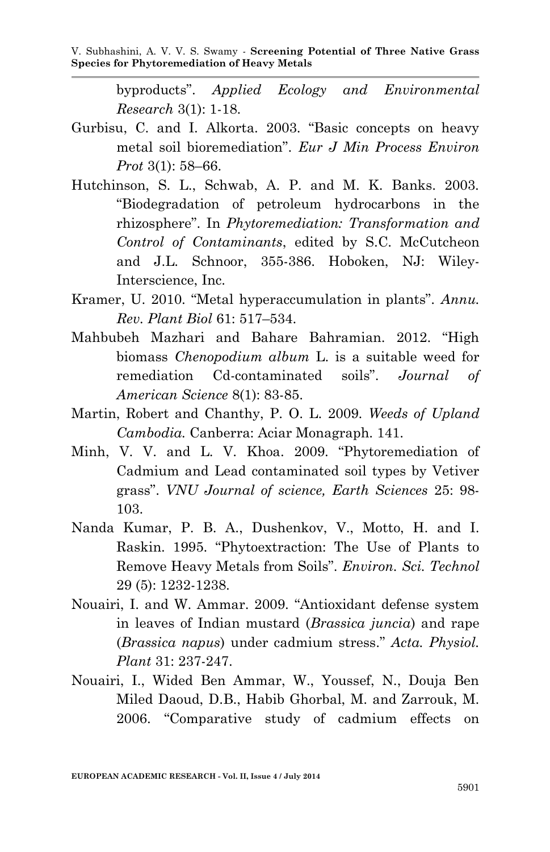byproducts". *Applied Ecology and Environmental Research* 3(1): 1-18.

- Gurbisu, C. and I. Alkorta. 2003. "Basic concepts on heavy metal soil bioremediation". *Eur J Min Process Environ Prot* 3(1): 58–66.
- Hutchinson, S. L., Schwab, A. P. and M. K. Banks. 2003. "Biodegradation of petroleum hydrocarbons in the rhizosphere". In *Phytoremediation: Transformation and Control of Contaminants*, edited by S.C. McCutcheon and J.L. Schnoor, 355-386. Hoboken, NJ: Wiley-Interscience, Inc.
- Kramer, U. 2010. "Metal hyperaccumulation in plants". *Annu. Rev. Plant Biol* 61: 517–534.
- Mahbubeh Mazhari and Bahare Bahramian. 2012. "High biomass *Chenopodium album* L. is a suitable weed for remediation Cd-contaminated soils". *Journal of American Science* 8(1): 83-85.
- Martin, Robert and Chanthy, P. O. L. 2009. *Weeds of Upland Cambodia.* Canberra: Aciar Monagraph. 141.
- Minh, V. V. and L. V. Khoa. 2009. "Phytoremediation of Cadmium and Lead contaminated soil types by Vetiver grass". *VNU Journal of science, Earth Sciences* 25: 98- 103.
- Nanda Kumar, P. B. A., Dushenkov, V., Motto, H. and I. Raskin. 1995. "Phytoextraction: The Use of Plants to Remove Heavy Metals from Soils". *Environ. Sci. Technol* 29 (5): 1232-1238.
- Nouairi, I. and W. Ammar. 2009. "Antioxidant defense system in leaves of Indian mustard (*Brassica juncia*) and rape (*Brassica napus*) under cadmium stress." *Acta. Physiol. Plant* 31: 237-247.
- Nouairi, I., Wided Ben Ammar, W., Youssef, N., Douja Ben Miled Daoud, D.B., Habib Ghorbal, M. and Zarrouk, M. 2006. "Comparative study of cadmium effects on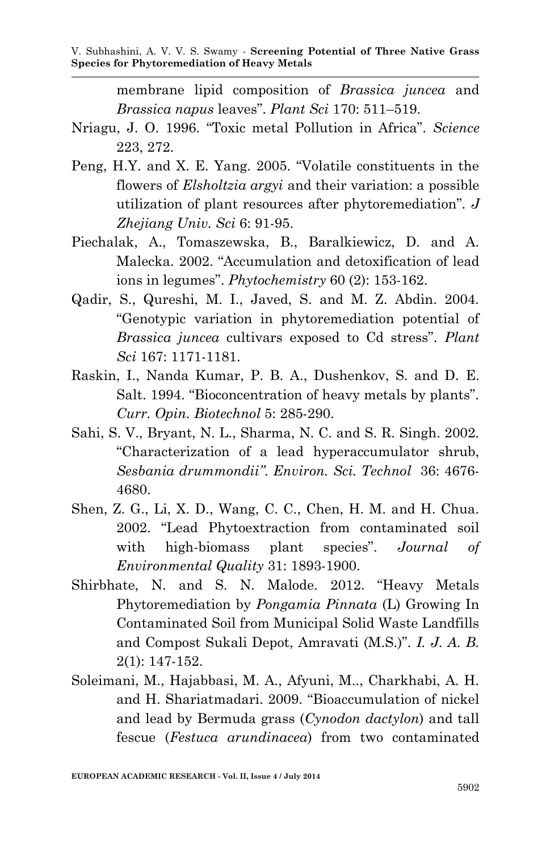membrane lipid composition of *Brassica juncea* and *Brassica napus* leaves". *Plant Sci* 170: 511–519.

- Nriagu, J. O. 1996. "Toxic metal Pollution in Africa". *Science* 223, 272.
- Peng, H.Y. and X. E. Yang. 2005. "Volatile constituents in the flowers of *Elsholtzia argyi* and their variation: a possible utilization of plant resources after phytoremediation"*. J Zhejiang Univ. Sci* 6: 91-95.
- Piechalak, A., Tomaszewska, B., Baralkiewicz, D. and A. Malecka. 2002. "Accumulation and detoxification of lead ions in legumes". *Phytochemistry* 60 (2): 153-162.
- Qadir, S., Qureshi, M. I., Javed, S. and M. Z. Abdin. 2004. "Genotypic variation in phytoremediation potential of *Brassica juncea* cultivars exposed to Cd stress". *Plant Sci* 167: 1171-1181.
- Raskin, I., Nanda Kumar, P. B. A., Dushenkov, S. and D. E. Salt. 1994. "Bioconcentration of heavy metals by plants". *Curr. Opin. Biotechnol* 5: 285-290.
- Sahi, S. V., Bryant, N. L., Sharma, N. C. and S. R. Singh. 2002. "Characterization of a lead hyperaccumulator shrub, *Sesbania drummondii"*. *Environ. Sci. Technol* 36: 4676- 4680.
- Shen, Z. G., Li, X. D., Wang, C. C., Chen, H. M. and H. Chua. 2002. "Lead Phytoextraction from contaminated soil with high-biomass plant species". *Journal of Environmental Quality* 31: 1893-1900.
- Shirbhate, N. and S. N. Malode. 2012. "Heavy Metals Phytoremediation by *Pongamia Pinnata* (L) Growing In Contaminated Soil from Municipal Solid Waste Landfills and Compost Sukali Depot, Amravati (M.S.)". *I. J. A. B.* 2(1): 147-152.
- Soleimani, M., Hajabbasi, M. A., Afyuni, M.., Charkhabi, A. H. and H. Shariatmadari. 2009. "Bioaccumulation of nickel and lead by Bermuda grass (*Cynodon dactylon*) and tall fescue (*Festuca arundinacea*) from two contaminated